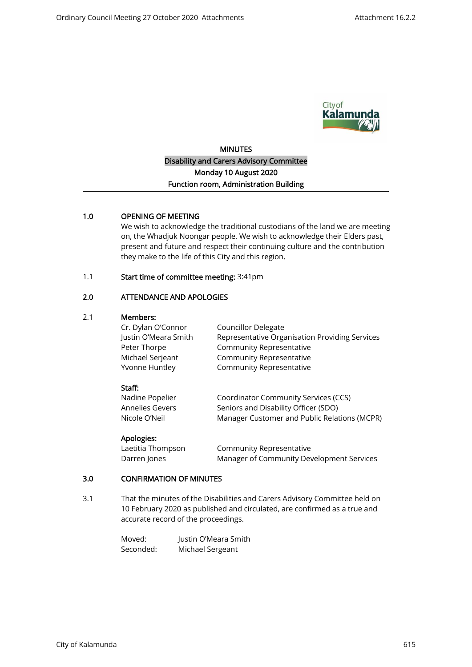

# **MINUTES** Disability and Carers Advisory Committee Monday 10 August 2020 Function room, Administration Building

## 1.0 OPENING OF MEETING

We wish to acknowledge the traditional custodians of the land we are meeting on, the Whadjuk Noongar people. We wish to acknowledge their Elders past, present and future and respect their continuing culture and the contribution they make to the life of this City and this region.

#### 1.1 Start time of committee meeting: 3:41pm

## 2.0 ATTENDANCE AND APOLOGIES

#### 2.1 Members:

| Councillor Delegate                            |
|------------------------------------------------|
| Representative Organisation Providing Services |
| Community Representative                       |
| Community Representative                       |
| Community Representative                       |
|                                                |

#### Staff:

| Nadine Popelier | Coordinator Community Services (CCS)         |
|-----------------|----------------------------------------------|
| Annelies Gevers | Seniors and Disability Officer (SDO)         |
| Nicole O'Neil   | Manager Customer and Public Relations (MCPR) |

#### Apologies:

| Laetitia Thompson | Community Representative                  |
|-------------------|-------------------------------------------|
| Darren Jones      | Manager of Community Development Services |

### 3.0 CONFIRMATION OF MINUTES

3.1 That the minutes of the Disabilities and Carers Advisory Committee held on 10 February 2020 as published and circulated, are confirmed as a true and accurate record of the proceedings.

| Moved:    | Justin O'Meara Smith |
|-----------|----------------------|
| Seconded: | Michael Sergeant     |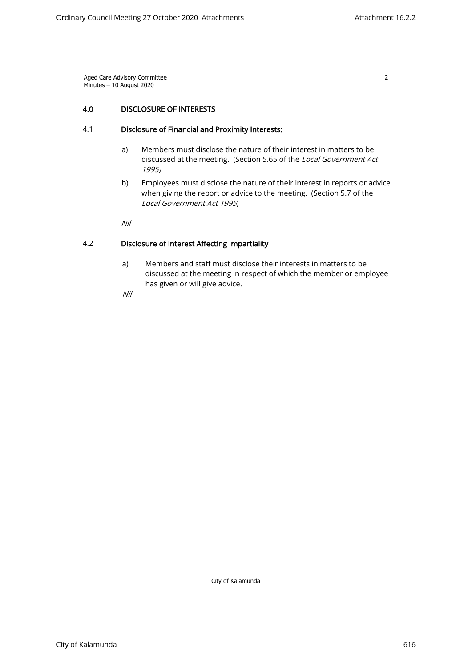2

## 4.0 DISCLOSURE OF INTERESTS

#### 4.1 Disclosure of Financial and Proximity Interests:

- a) Members must disclose the nature of their interest in matters to be discussed at the meeting. (Section 5.65 of the Local Government Act 1995)
- b) Employees must disclose the nature of their interest in reports or advice when giving the report or advice to the meeting. (Section 5.7 of the Local Government Act 1995)

Nil

## 4.2 Disclosure of Interest Affecting Impartiality

a) Members and staff must disclose their interests in matters to be discussed at the meeting in respect of which the member or employee has given or will give advice.

Nil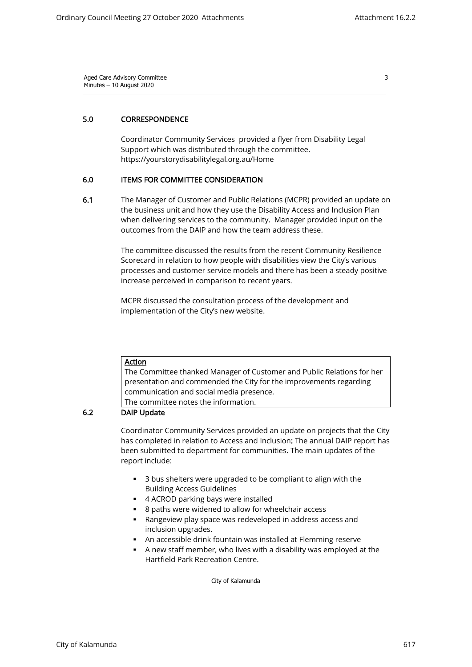3

## 5.0 CORRESPONDENCE

Coordinator Community Services provided a flyer from Disability Legal Support which was distributed through the committee. <https://yourstorydisabilitylegal.org.au/Home>

#### 6.0 ITEMS FOR COMMITTEE CONSIDERATION

6.1 The Manager of Customer and Public Relations (MCPR) provided an update on the business unit and how they use the Disability Access and Inclusion Plan when delivering services to the community. Manager provided input on the outcomes from the DAIP and how the team address these.

> The committee discussed the results from the recent Community Resilience Scorecard in relation to how people with disabilities view the City's various processes and customer service models and there has been a steady positive increase perceived in comparison to recent years.

MCPR discussed the consultation process of the development and implementation of the City's new website.

Action The Committee thanked Manager of Customer and Public Relations for her presentation and commended the City for the improvements regarding communication and social media presence. The committee notes the information.

## 6.2 DAIP Update

Coordinator Community Services provided an update on projects that the City has completed in relation to Access and Inclusion: The annual DAIP report has been submitted to department for communities. The main updates of the report include:

- 3 bus shelters were upgraded to be compliant to align with the Building Access Guidelines
- 4 ACROD parking bays were installed
- 8 paths were widened to allow for wheelchair access
- Rangeview play space was redeveloped in address access and inclusion upgrades.
- An accessible drink fountain was installed at Flemming reserve
- A new staff member, who lives with a disability was employed at the Hartfield Park Recreation Centre.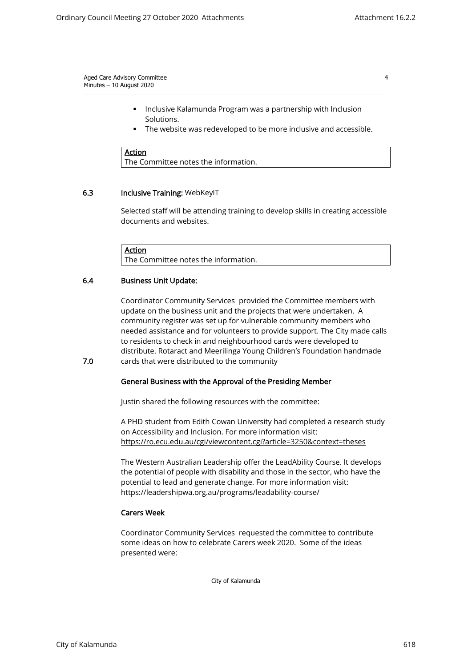- Inclusive Kalamunda Program was a partnership with Inclusion Solutions.
- The website was redeveloped to be more inclusive and accessible.

**Action** The Committee notes the information.

#### 6.3 Inclusive Training: WebKeyIT

Selected staff will be attending training to develop skills in creating accessible documents and websites.

**Action** The Committee notes the information.

#### 6.4 Business Unit Update:

Coordinator Community Services provided the Committee members with update on the business unit and the projects that were undertaken. A community register was set up for vulnerable community members who needed assistance and for volunteers to provide support. The City made calls to residents to check in and neighbourhood cards were developed to distribute. Rotaract and Meerilinga Young Children's Foundation handmade cards that were distributed to the community

7.0

#### General Business with the Approval of the Presiding Member

Justin shared the following resources with the committee:

A PHD student from Edith Cowan University had completed a research study on Accessibility and Inclusion. For more information visit: <https://ro.ecu.edu.au/cgi/viewcontent.cgi?article=3250&context=theses>

The Western Australian Leadership offer the LeadAbility Course. It develops the potential of people with disability and those in the sector, who have the potential to lead and generate change. For more information visit: <https://leadershipwa.org.au/programs/leadability-course/>

#### Carers Week

Coordinator Community Services requested the committee to contribute some ideas on how to celebrate Carers week 2020. Some of the ideas presented were: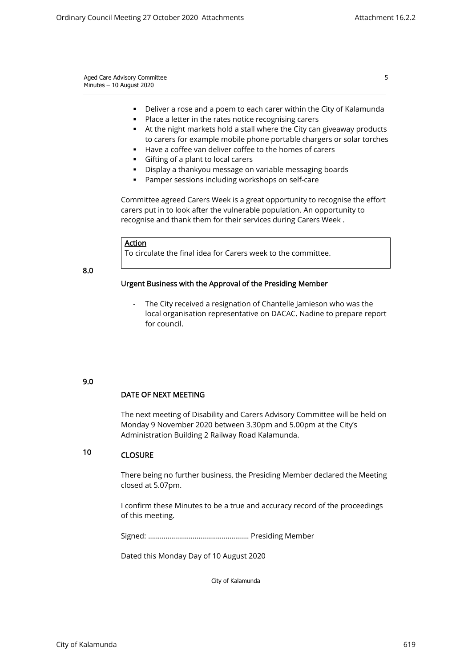5

| Aged Care Advisory Committee |  |  |
|------------------------------|--|--|
| Minutes $-10$ August 2020    |  |  |
|                              |  |  |

- Deliver a rose and a poem to each carer within the City of Kalamunda
- Place a letter in the rates notice recognising carers
- At the night markets hold a stall where the City can giveaway products to carers for example mobile phone portable chargers or solar torches
- Have a coffee van deliver coffee to the homes of carers
- Gifting of a plant to local carers
- Display a thankyou message on variable messaging boards
- Pamper sessions including workshops on self-care

Committee agreed Carers Week is a great opportunity to recognise the effort carers put in to look after the vulnerable population. An opportunity to recognise and thank them for their services during Carers Week .

#### Action

To circulate the final idea for Carers week to the committee.

8.0

### Urgent Business with the Approval of the Presiding Member

The City received a resignation of Chantelle Jamieson who was the local organisation representative on DACAC. Nadine to prepare report for council.

#### 9.0

### DATE OF NEXT MEETING

The next meeting of Disability and Carers Advisory Committee will be held on Monday 9 November 2020 between 3.30pm and 5.00pm at the City's Administration Building 2 Railway Road Kalamunda.

#### 10 **CLOSURE**

There being no further business, the Presiding Member declared the Meeting closed at 5.07pm.

I confirm these Minutes to be a true and accuracy record of the proceedings of this meeting.

Signed: ……………………………………………. Presiding Member

Dated this Monday Day of 10 August 2020